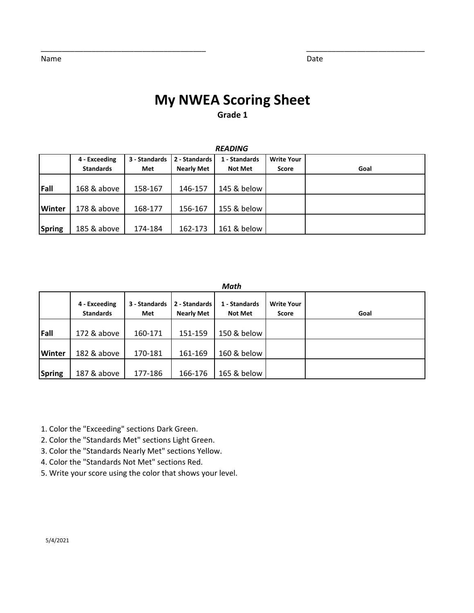# **My NWEA Scoring Sheet**

\_\_\_\_\_\_\_\_\_\_\_\_\_\_\_\_\_\_\_\_\_\_\_\_\_\_\_\_\_\_\_\_\_\_\_\_\_\_\_ \_\_\_\_\_\_\_\_\_\_\_\_\_\_\_\_\_\_\_\_\_\_\_\_\_\_\_\_

**Grade 1**

|               | 4 - Exceeding<br><b>Standards</b> | 3 - Standards<br>Met | 2 - Standards<br><b>Nearly Met</b> | 1 - Standards<br><b>Not Met</b> | <b>Write Your</b><br>Score | Goal |
|---------------|-----------------------------------|----------------------|------------------------------------|---------------------------------|----------------------------|------|
| Fall          | 168 & above                       | 158-167              | 146-157                            | 145 & below                     |                            |      |
| <b>Winter</b> | 178 & above                       | 168-177              | 156-167                            | 155 & below                     |                            |      |
| Spring        | 185 & above                       | 174-184              | 162-173                            | 161 & below                     |                            |      |

#### *READING*

*Math*

|               | 4 - Exceeding<br><b>Standards</b> | 3 - Standards<br>Met | 2 - Standards<br><b>Nearly Met</b> | 1 - Standards<br><b>Not Met</b> | <b>Write Your</b><br><b>Score</b> | Goal |
|---------------|-----------------------------------|----------------------|------------------------------------|---------------------------------|-----------------------------------|------|
| Fall          | 172 & above                       | 160-171              | 151-159                            | 150 & below                     |                                   |      |
| <b>Winter</b> | 182 & above                       | 170-181              | 161-169                            | 160 & below                     |                                   |      |
| <b>Spring</b> | 187 & above                       | 177-186              | 166-176                            | 165 & below                     |                                   |      |

1. Color the "Exceeding" sections Dark Green.

2. Color the "Standards Met" sections Light Green.

3. Color the "Standards Nearly Met" sections Yellow.

4. Color the "Standards Not Met" sections Red.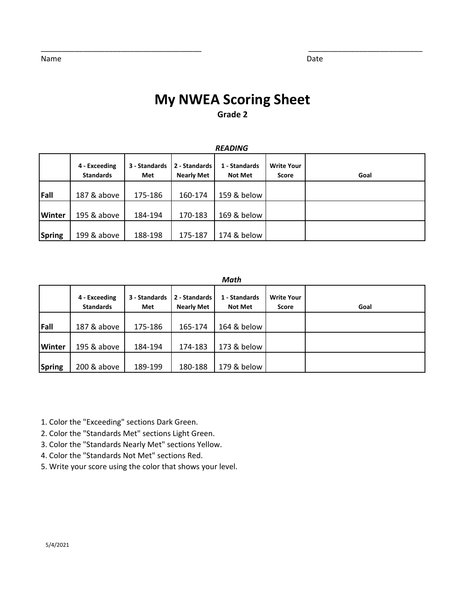# **My NWEA Scoring Sheet**

\_\_\_\_\_\_\_\_\_\_\_\_\_\_\_\_\_\_\_\_\_\_\_\_\_\_\_\_\_\_\_\_\_\_\_\_\_\_ \_\_\_\_\_\_\_\_\_\_\_\_\_\_\_\_\_\_\_\_\_\_\_\_\_\_\_

### **Grade 2**

|               | <b>READING</b>                    |                      |                                    |                                 |                            |      |  |  |  |  |
|---------------|-----------------------------------|----------------------|------------------------------------|---------------------------------|----------------------------|------|--|--|--|--|
|               | 4 - Exceeding<br><b>Standards</b> | 3 - Standards<br>Met | 2 - Standards<br><b>Nearly Met</b> | 1 - Standards<br><b>Not Met</b> | <b>Write Your</b><br>Score | Goal |  |  |  |  |
| Fall          | 187 & above                       | 175-186              | 160-174                            | 159 & below                     |                            |      |  |  |  |  |
| <b>Winter</b> | 195 & above                       | 184-194              | 170-183                            | 169 & below                     |                            |      |  |  |  |  |
| <b>Spring</b> | 199 & above                       | 188-198              | 175-187                            | 174 & below                     |                            |      |  |  |  |  |

#### *Math*

|               | 4 - Exceeding<br><b>Standards</b> | 3 - Standards<br>Met | 2 - Standards<br><b>Nearly Met</b> | 1 - Standards<br><b>Not Met</b> | <b>Write Your</b><br>Score | Goal |  |  |  |
|---------------|-----------------------------------|----------------------|------------------------------------|---------------------------------|----------------------------|------|--|--|--|
| Fall          | 187 & above                       | 175-186              | 165-174                            | 164 & below                     |                            |      |  |  |  |
| <b>Winter</b> | 195 & above                       | 184-194              | 174-183                            | 173 & below                     |                            |      |  |  |  |
| Spring        | 200 & above                       | 189-199              | 180-188                            | 179 & below                     |                            |      |  |  |  |

1. Color the "Exceeding" sections Dark Green.

- 2. Color the "Standards Met" sections Light Green.
- 3. Color the "Standards Nearly Met" sections Yellow.
- 4. Color the "Standards Not Met" sections Red.
- 5. Write your score using the color that shows your level.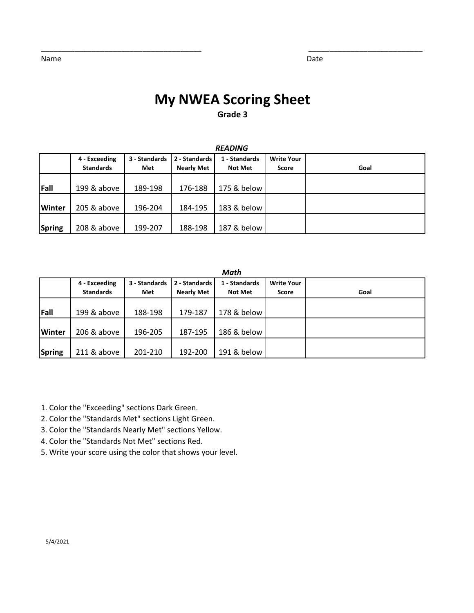# **My NWEA Scoring Sheet**

\_\_\_\_\_\_\_\_\_\_\_\_\_\_\_\_\_\_\_\_\_\_\_\_\_\_\_\_\_\_\_\_\_\_\_\_\_\_ \_\_\_\_\_\_\_\_\_\_\_\_\_\_\_\_\_\_\_\_\_\_\_\_\_\_\_

### **Grade 3**

|               | 4 - Exceeding<br><b>Standards</b> | 3 - Standards<br>Met | 2 - Standards<br><b>Nearly Met</b> | 1 - Standards<br><b>Not Met</b> | <b>Write Your</b><br>Score | Goal |
|---------------|-----------------------------------|----------------------|------------------------------------|---------------------------------|----------------------------|------|
| Fall          | 199 & above                       | 189-198              | 176-188                            | 175 & below                     |                            |      |
| <b>Winter</b> | 205 & above                       | 196-204              | 184-195                            | 183 & below                     |                            |      |
| Spring        | 208 & above                       | 199-207              | 188-198                            | 187 & below                     |                            |      |

#### *READING*

#### *Math*

|               | 4 - Exceeding<br><b>Standards</b> | 3 - Standards<br>Met | 2 - Standards<br><b>Nearly Met</b> | 1 - Standards<br><b>Not Met</b> | <b>Write Your</b><br><b>Score</b> | Goal |
|---------------|-----------------------------------|----------------------|------------------------------------|---------------------------------|-----------------------------------|------|
| Fall          | 199 & above                       | 188-198              | 179-187                            | 178 & below                     |                                   |      |
| <b>Winter</b> | 206 & above                       | 196-205              | 187-195                            | 186 & below                     |                                   |      |
| Spring        | 211 & above                       | 201-210              | 192-200                            | 191 & below                     |                                   |      |

1. Color the "Exceeding" sections Dark Green.

2. Color the "Standards Met" sections Light Green.

3. Color the "Standards Nearly Met" sections Yellow.

4. Color the "Standards Not Met" sections Red.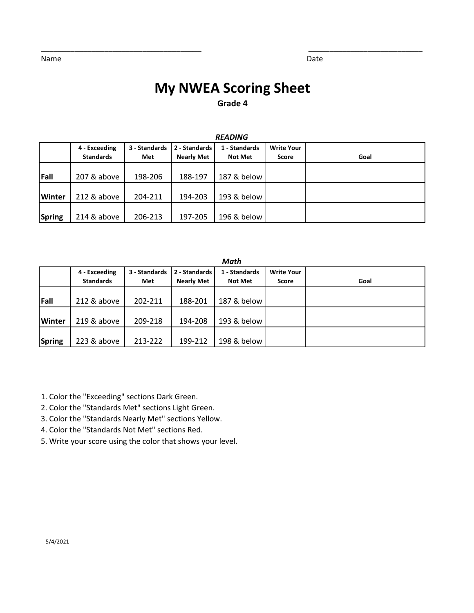## **My NWEA Scoring Sheet Grade 4**

\_\_\_\_\_\_\_\_\_\_\_\_\_\_\_\_\_\_\_\_\_\_\_\_\_\_\_\_\_\_\_\_\_\_\_\_\_\_ \_\_\_\_\_\_\_\_\_\_\_\_\_\_\_\_\_\_\_\_\_\_\_\_\_\_\_

|               | <b>READING</b>                    |                      |                                    |                                 |                                   |      |  |  |  |  |
|---------------|-----------------------------------|----------------------|------------------------------------|---------------------------------|-----------------------------------|------|--|--|--|--|
|               | 4 - Exceeding<br><b>Standards</b> | 3 - Standards<br>Met | 2 - Standards<br><b>Nearly Met</b> | 1 - Standards<br><b>Not Met</b> | <b>Write Your</b><br><b>Score</b> | Goal |  |  |  |  |
| Fall          | 207 & above                       | 198-206              | 188-197                            | 187 & below                     |                                   |      |  |  |  |  |
| Winter        | 212 & above                       | 204-211              | 194-203                            | 193 & below                     |                                   |      |  |  |  |  |
| <b>Spring</b> | 214 & above                       | 206-213              | 197-205                            | 196 & below                     |                                   |      |  |  |  |  |

|               | Math                              |                      |                                    |                          |                                   |      |  |  |  |  |
|---------------|-----------------------------------|----------------------|------------------------------------|--------------------------|-----------------------------------|------|--|--|--|--|
|               | 4 - Exceeding<br><b>Standards</b> | 3 - Standards<br>Met | 2 - Standards<br><b>Nearly Met</b> | 1 - Standards<br>Not Met | <b>Write Your</b><br><b>Score</b> | Goal |  |  |  |  |
| Fall          | 212 & above                       | 202-211              | 188-201                            | 187 & below              |                                   |      |  |  |  |  |
| <b>Winter</b> | 219 & above                       | 209-218              | 194-208                            | 193 & below              |                                   |      |  |  |  |  |
| <b>Spring</b> | 223 & above                       | 213-222              | 199-212                            | 198 & below              |                                   |      |  |  |  |  |

1. Color the "Exceeding" sections Dark Green.

2. Color the "Standards Met" sections Light Green.

3. Color the "Standards Nearly Met" sections Yellow.

- 4. Color the "Standards Not Met" sections Red.
- 5. Write your score using the color that shows your level.

Name Date by the Contract of the Contract of the Contract of the Contract of the Date Date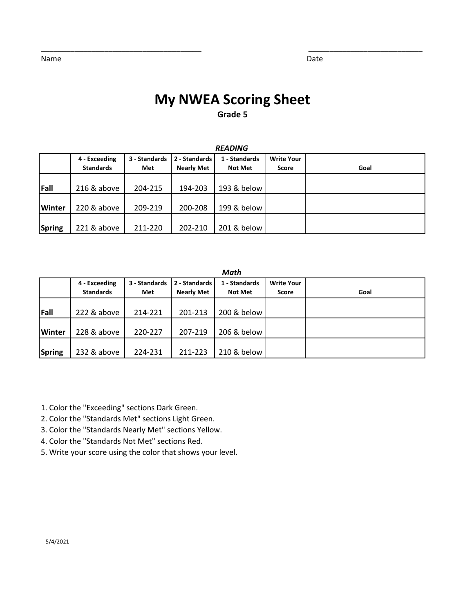# **My NWEA Scoring Sheet**

\_\_\_\_\_\_\_\_\_\_\_\_\_\_\_\_\_\_\_\_\_\_\_\_\_\_\_\_\_\_\_\_\_\_\_\_\_\_ \_\_\_\_\_\_\_\_\_\_\_\_\_\_\_\_\_\_\_\_\_\_\_\_\_\_\_

### **Grade 5**

|               | 4 - Exceeding<br><b>Standards</b> | 3 - Standards<br>Met | 2 - Standards<br><b>Nearly Met</b> | 1 - Standards<br><b>Not Met</b> | <b>Write Your</b><br>Score | Goal |
|---------------|-----------------------------------|----------------------|------------------------------------|---------------------------------|----------------------------|------|
| Fall          | 216 & above                       | 204-215              | 194-203                            | 193 & below                     |                            |      |
| <b>Winter</b> | 220 & above                       | 209-219              | 200-208                            | 199 & below                     |                            |      |
| Spring        | 221 & above                       | 211-220              | 202-210                            | 201 & below                     |                            |      |

#### *READING*

#### *Math*

|               | 4 - Exceeding    | 3 - Standards | 2 - Standards     | 1 - Standards  | <b>Write Your</b> |      |
|---------------|------------------|---------------|-------------------|----------------|-------------------|------|
|               | <b>Standards</b> | Met           | <b>Nearly Met</b> | <b>Not Met</b> | Score             | Goal |
|               |                  |               |                   |                |                   |      |
| Fall          | 222 & above      | 214-221       | 201-213           | 200 & below    |                   |      |
|               |                  |               |                   |                |                   |      |
| <b>Winter</b> | 228 & above      | 220-227       | 207-219           | 206 & below    |                   |      |
|               |                  |               |                   |                |                   |      |
| Spring        | 232 & above      | 224-231       | 211-223           | 210 & below    |                   |      |

1. Color the "Exceeding" sections Dark Green.

- 2. Color the "Standards Met" sections Light Green.
- 3. Color the "Standards Nearly Met" sections Yellow.
- 4. Color the "Standards Not Met" sections Red.
- 5. Write your score using the color that shows your level.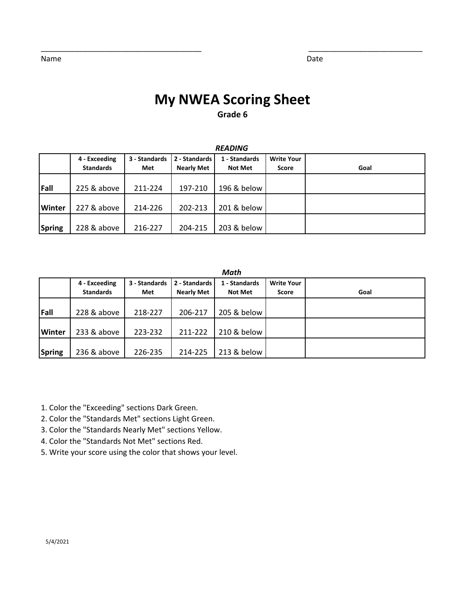# **My NWEA Scoring Sheet**

\_\_\_\_\_\_\_\_\_\_\_\_\_\_\_\_\_\_\_\_\_\_\_\_\_\_\_\_\_\_\_\_\_\_\_\_\_\_ \_\_\_\_\_\_\_\_\_\_\_\_\_\_\_\_\_\_\_\_\_\_\_\_\_\_\_

### **Grade 6**

|               | 4 - Exceeding<br><b>Standards</b> | 3 - Standards<br>Met | 2 - Standards<br><b>Nearly Met</b> | 1 - Standards<br><b>Not Met</b> | <b>Write Your</b><br><b>Score</b> | Goal |
|---------------|-----------------------------------|----------------------|------------------------------------|---------------------------------|-----------------------------------|------|
| Fall          | 225 & above                       | 211-224              | 197-210                            | 196 & below                     |                                   |      |
| <b>Winter</b> | 227 & above                       | 214-226              | 202-213                            | 201 & below                     |                                   |      |
| Spring        | 228 & above                       | 216-227              | 204-215                            | 203 & below                     |                                   |      |

#### *READING*

#### *Math*

|               | 4 - Exceeding<br><b>Standards</b> | 3 - Standards<br>Met | 2 - Standards<br><b>Nearly Met</b> | 1 - Standards<br><b>Not Met</b> | <b>Write Your</b><br><b>Score</b> | Goal |
|---------------|-----------------------------------|----------------------|------------------------------------|---------------------------------|-----------------------------------|------|
| Fall          | 228 & above                       | 218-227              | 206-217                            | 205 & below                     |                                   |      |
| <b>Winter</b> | 233 & above                       | 223-232              | 211-222                            | 210 & below                     |                                   |      |
| Spring        | 236 & above                       | 226-235              | 214-225                            | 213 & below                     |                                   |      |

1. Color the "Exceeding" sections Dark Green.

- 2. Color the "Standards Met" sections Light Green.
- 3. Color the "Standards Nearly Met" sections Yellow.
- 4. Color the "Standards Not Met" sections Red.
- 5. Write your score using the color that shows your level.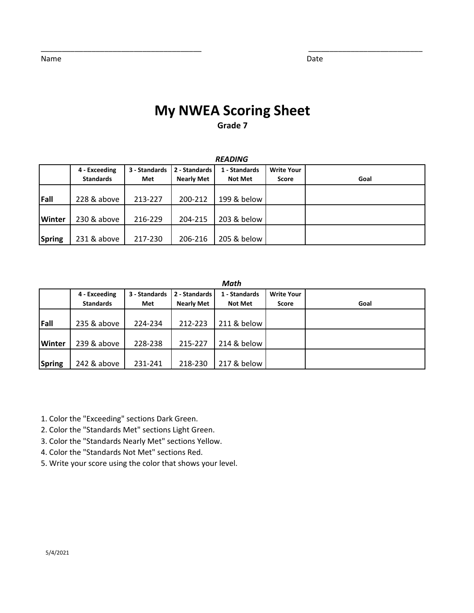## **My NWEA Scoring Sheet Grade 7**

\_\_\_\_\_\_\_\_\_\_\_\_\_\_\_\_\_\_\_\_\_\_\_\_\_\_\_\_\_\_\_\_\_\_\_\_\_\_ \_\_\_\_\_\_\_\_\_\_\_\_\_\_\_\_\_\_\_\_\_\_\_\_\_\_\_

|               | 4 - Exceeding    | 3 - Standards | 2 - Standards     | 1 - Standards  | <b>Write Your</b> |      |  |
|---------------|------------------|---------------|-------------------|----------------|-------------------|------|--|
|               | <b>Standards</b> | Met           | <b>Nearly Met</b> | <b>Not Met</b> | Score             | Goal |  |
|               |                  |               |                   |                |                   |      |  |
| Fall          | 228 & above      | 213-227       | 200-212           | 199 & below    |                   |      |  |
|               |                  |               |                   |                |                   |      |  |
| <b>Winter</b> | 230 & above      | 216-229       | 204-215           | 203 & below    |                   |      |  |
|               |                  |               |                   |                |                   |      |  |
| Spring        | 231 & above      | 217-230       | 206-216           | 205 & below    |                   |      |  |

#### *READING*

#### *Math*

|               | 4 - Exceeding<br><b>Standards</b> | 3 - Standards<br>Met | 2 - Standards<br><b>Nearly Met</b> | 1 - Standards<br><b>Not Met</b> | <b>Write Your</b><br><b>Score</b> | Goal |
|---------------|-----------------------------------|----------------------|------------------------------------|---------------------------------|-----------------------------------|------|
| Fall          | 235 & above                       | 224-234              | 212-223                            | 211 & below                     |                                   |      |
| <b>Winter</b> | 239 & above                       | 228-238              | 215-227                            | 214 & below                     |                                   |      |
| <b>Spring</b> | 242 & above                       | 231-241              | 218-230                            | 217 & below                     |                                   |      |

1. Color the "Exceeding" sections Dark Green.

2. Color the "Standards Met" sections Light Green.

3. Color the "Standards Nearly Met" sections Yellow.

4. Color the "Standards Not Met" sections Red.